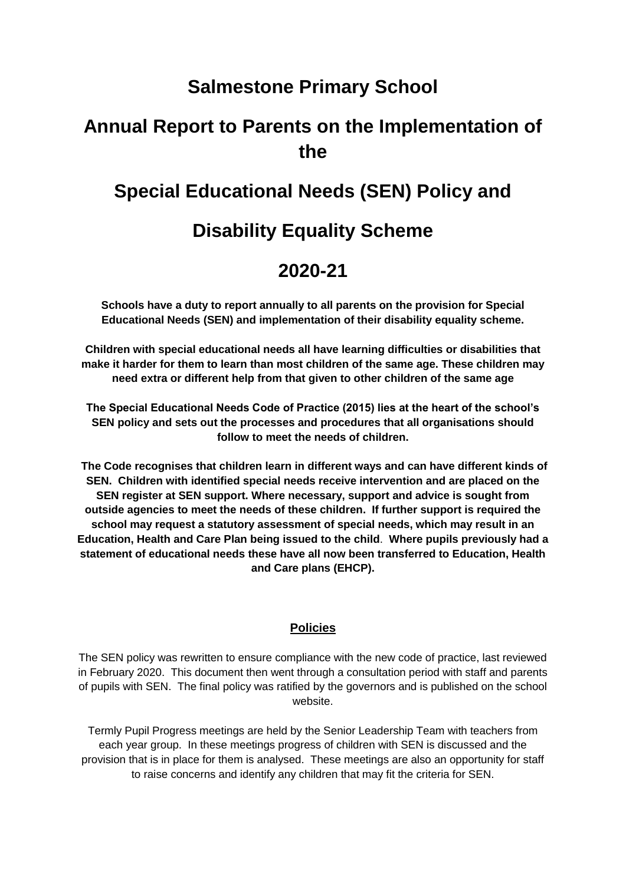# **Salmestone Primary School**

# **Annual Report to Parents on the Implementation of the**

# **Special Educational Needs (SEN) Policy and**

# **Disability Equality Scheme**

# **2020-21**

**Schools have a duty to report annually to all parents on the provision for Special Educational Needs (SEN) and implementation of their disability equality scheme.**

**Children with special educational needs all have learning difficulties or disabilities that make it harder for them to learn than most children of the same age. These children may need extra or different help from that given to other children of the same age**

**The Special Educational Needs Code of Practice (2015) lies at the heart of the school's SEN policy and sets out the processes and procedures that all organisations should follow to meet the needs of children.**

**The Code recognises that children learn in different ways and can have different kinds of SEN. Children with identified special needs receive intervention and are placed on the SEN register at SEN support. Where necessary, support and advice is sought from outside agencies to meet the needs of these children. If further support is required the school may request a statutory assessment of special needs, which may result in an Education, Health and Care Plan being issued to the child**. **Where pupils previously had a statement of educational needs these have all now been transferred to Education, Health and Care plans (EHCP).**

## **Policies**

The SEN policy was rewritten to ensure compliance with the new code of practice, last reviewed in February 2020. This document then went through a consultation period with staff and parents of pupils with SEN. The final policy was ratified by the governors and is published on the school website.

Termly Pupil Progress meetings are held by the Senior Leadership Team with teachers from each year group. In these meetings progress of children with SEN is discussed and the provision that is in place for them is analysed. These meetings are also an opportunity for staff to raise concerns and identify any children that may fit the criteria for SEN.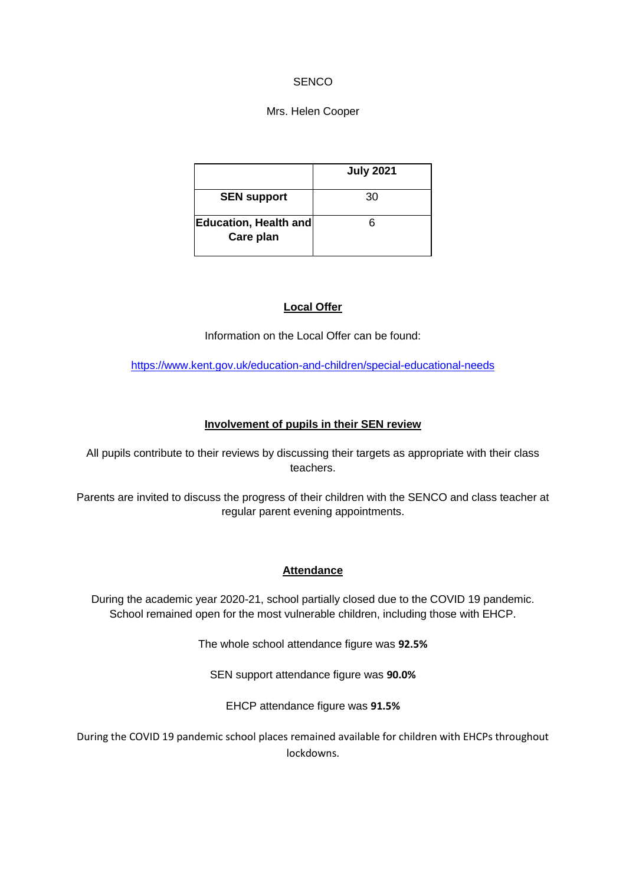# **SENCO**

## Mrs. Helen Cooper

|                                    | <b>July 2021</b> |
|------------------------------------|------------------|
| <b>SEN support</b>                 | 30               |
| Education, Health and<br>Care plan |                  |

## **Local Offer**

Information on the Local Offer can be found:

<https://www.kent.gov.uk/education-and-children/special-educational-needs>

# **Involvement of pupils in their SEN review**

All pupils contribute to their reviews by discussing their targets as appropriate with their class teachers.

Parents are invited to discuss the progress of their children with the SENCO and class teacher at regular parent evening appointments.

# **Attendance**

During the academic year 2020-21, school partially closed due to the COVID 19 pandemic. School remained open for the most vulnerable children, including those with EHCP.

The whole school attendance figure was **92.5%**

SEN support attendance figure was **90.0%** 

EHCP attendance figure was **91.5%**

During the COVID 19 pandemic school places remained available for children with EHCPs throughout lockdowns.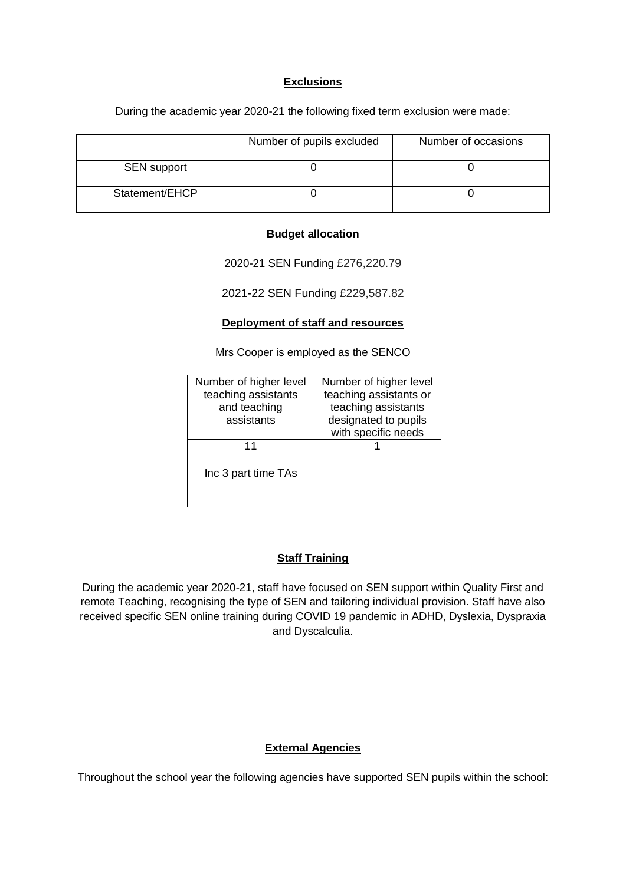#### **Exclusions**

During the academic year 2020-21 the following fixed term exclusion were made:

|                    | Number of pupils excluded | Number of occasions |
|--------------------|---------------------------|---------------------|
| <b>SEN</b> support |                           |                     |
| Statement/EHCP     |                           |                     |

#### **Budget allocation**

2020-21 SEN Funding £276,220.79

2021-22 SEN Funding £229,587.82

#### **Deployment of staff and resources**

Mrs Cooper is employed as the SENCO

| Number of higher level<br>teaching assistants<br>and teaching<br>assistants | Number of higher level<br>teaching assistants or<br>teaching assistants<br>designated to pupils |
|-----------------------------------------------------------------------------|-------------------------------------------------------------------------------------------------|
|                                                                             | with specific needs                                                                             |
| 11                                                                          |                                                                                                 |
| Inc 3 part time TAs                                                         |                                                                                                 |

## **Staff Training**

During the academic year 2020-21, staff have focused on SEN support within Quality First and remote Teaching, recognising the type of SEN and tailoring individual provision. Staff have also received specific SEN online training during COVID 19 pandemic in ADHD, Dyslexia, Dyspraxia and Dyscalculia.

## **External Agencies**

Throughout the school year the following agencies have supported SEN pupils within the school: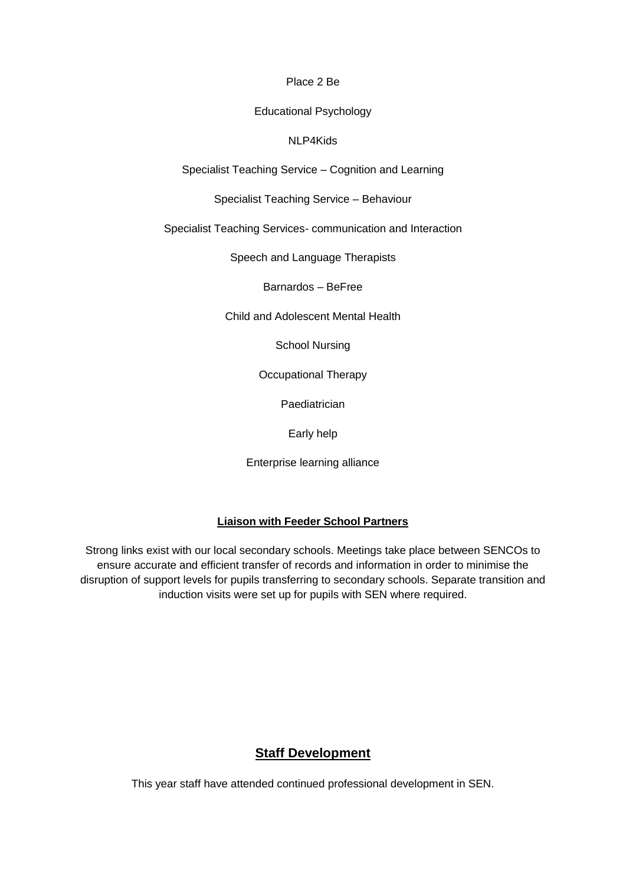Place 2 Be

#### Educational Psychology

#### NLP4Kids

Specialist Teaching Service – Cognition and Learning

Specialist Teaching Service – Behaviour

Specialist Teaching Services- communication and Interaction

Speech and Language Therapists

Barnardos – BeFree

Child and Adolescent Mental Health

School Nursing

Occupational Therapy

Paediatrician

Early help

Enterprise learning alliance

## **Liaison with Feeder School Partners**

Strong links exist with our local secondary schools. Meetings take place between SENCOs to ensure accurate and efficient transfer of records and information in order to minimise the disruption of support levels for pupils transferring to secondary schools. Separate transition and induction visits were set up for pupils with SEN where required.

# **Staff Development**

This year staff have attended continued professional development in SEN.